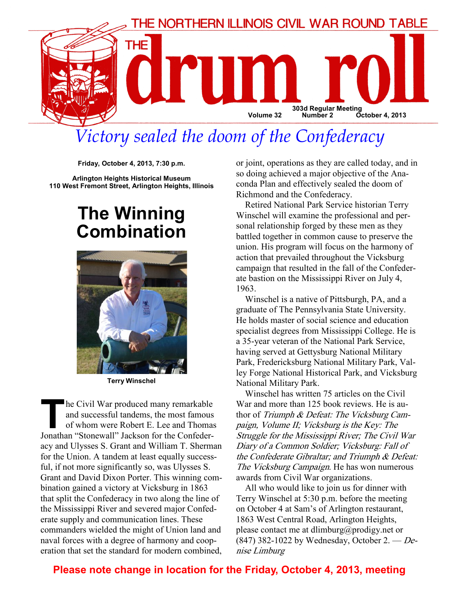

# Victory sealed the doom of the Confederacy

Friday, October 4, 2013, 7:30 p.m.

Arlington Heights Historical Museum 110 West Fremont Street, Arlington Heights, Illinois

## The Winning **Combination**



Terry Winschel

**h** he Civil War produced many remarkable and successful tandems, the most famous of whom were Robert E. Lee and Thomas Jonathan "Stonewall" Jackson for the Confederacy and Ulysses S. Grant and William T. Sherman for the Union. A tandem at least equally successful, if not more significantly so, was Ulysses S. Grant and David Dixon Porter. This winning combination gained a victory at Vicksburg in 1863 that split the Confederacy in two along the line of the Mississippi River and severed major Confederate supply and communication lines. These commanders wielded the might of Union land and naval forces with a degree of harmony and cooperation that set the standard for modern combined,

or joint, operations as they are called today, and in so doing achieved a major objective of the Anaconda Plan and effectively sealed the doom of Richmond and the Confederacy.

Retired National Park Service historian Terry Winschel will examine the professional and personal relationship forged by these men as they battled together in common cause to preserve the union. His program will focus on the harmony of action that prevailed throughout the Vicksburg campaign that resulted in the fall of the Confederate bastion on the Mississippi River on July 4, 1963.

Winschel is a native of Pittsburgh, PA, and a graduate of The Pennsylvania State University. He holds master of social science and education specialist degrees from Mississippi College. He is a 35-year veteran of the National Park Service, having served at Gettysburg National Military Park, Fredericksburg National Military Park, Valley Forge National Historical Park, and Vicksburg National Military Park.

Winschel has written 75 articles on the Civil War and more than 125 book reviews. He is author of Triumph & Defeat: The Vicksburg Campaign, Volume II; Vicksburg is the Key: The Struggle for the Mississippi River; The Civil War Diary of a Common Soldier; Vicksburg: Fall of the Confederate Gibraltar; and Triumph & Defeat: The Vicksburg Campaign. He has won numerous awards from Civil War organizations.

All who would like to join us for dinner with Terry Winschel at 5:30 p.m. before the meeting on October 4 at Sam's of Arlington restaurant, 1863 West Central Road, Arlington Heights, please contact me at dlimburg@prodigy.net or  $(847)$  382-1022 by Wednesday, October 2. — Denise Limburg

## Please note change in location for the Friday, October 4, 2013, meeting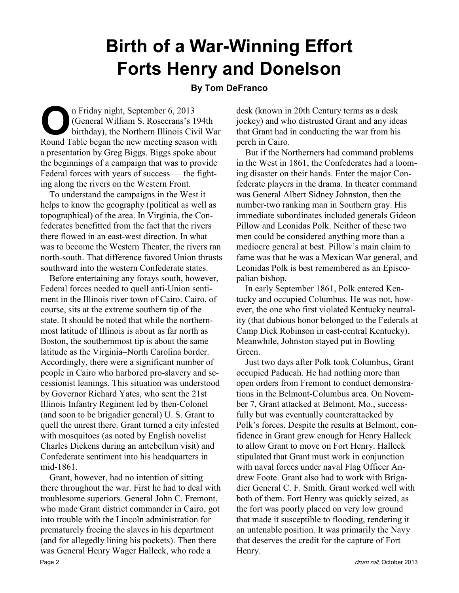# Birth of a War-Winning Effort Forts Henry and Donelson

#### By Tom DeFranco

On Friday night, September 6, 2013<br>
(General William S. Rosecrans's 1<br>
birthday), the Northern Illinois Cive<br>
Round Table began the new meeting season (General William S. Rosecrans's 194th birthday), the Northern Illinois Civil War Round Table began the new meeting season with a presentation by Greg Biggs. Biggs spoke about the beginnings of a campaign that was to provide Federal forces with years of success — the fighting along the rivers on the Western Front.

To understand the campaigns in the West it helps to know the geography (political as well as topographical) of the area. In Virginia, the Confederates benefitted from the fact that the rivers there flowed in an east-west direction. In what was to become the Western Theater, the rivers ran north-south. That difference favored Union thrusts southward into the western Confederate states.

Before entertaining any forays south, however, Federal forces needed to quell anti-Union sentiment in the Illinois river town of Cairo. Cairo, of course, sits at the extreme southern tip of the state. It should be noted that while the northernmost latitude of Illinois is about as far north as Boston, the southernmost tip is about the same latitude as the Virginia–North Carolina border. Accordingly, there were a significant number of people in Cairo who harbored pro-slavery and secessionist leanings. This situation was understood by Governor Richard Yates, who sent the 21st Illinois Infantry Regiment led by then-Colonel (and soon to be brigadier general) U. S. Grant to quell the unrest there. Grant turned a city infested with mosquitoes (as noted by English novelist Charles Dickens during an antebellum visit) and Confederate sentiment into his headquarters in mid-1861.

Grant, however, had no intention of sitting there throughout the war. First he had to deal with troublesome superiors. General John C. Fremont, who made Grant district commander in Cairo, got into trouble with the Lincoln administration for prematurely freeing the slaves in his department (and for allegedly lining his pockets). Then there was General Henry Wager Halleck, who rode a Page 2 drum roll, October 2013

desk (known in 20th Century terms as a desk jockey) and who distrusted Grant and any ideas that Grant had in conducting the war from his perch in Cairo.

But if the Northerners had command problems in the West in 1861, the Confederates had a looming disaster on their hands. Enter the major Confederate players in the drama. In theater command was General Albert Sidney Johnston, then the number-two ranking man in Southern gray. His immediate subordinates included generals Gideon Pillow and Leonidas Polk. Neither of these two men could be considered anything more than a mediocre general at best. Pillow's main claim to fame was that he was a Mexican War general, and Leonidas Polk is best remembered as an Episcopalian bishop.

In early September 1861, Polk entered Kentucky and occupied Columbus. He was not, however, the one who first violated Kentucky neutrality (that dubious honor belonged to the Federals at Camp Dick Robinson in east-central Kentucky). Meanwhile, Johnston stayed put in Bowling Green.

Just two days after Polk took Columbus, Grant occupied Paducah. He had nothing more than open orders from Fremont to conduct demonstrations in the Belmont-Columbus area. On November 7, Grant attacked at Belmont, Mo., successfully but was eventually counterattacked by Polk's forces. Despite the results at Belmont, confidence in Grant grew enough for Henry Halleck to allow Grant to move on Fort Henry. Halleck stipulated that Grant must work in conjunction with naval forces under naval Flag Officer Andrew Foote. Grant also had to work with Brigadier General C. F. Smith. Grant worked well with both of them. Fort Henry was quickly seized, as the fort was poorly placed on very low ground that made it susceptible to flooding, rendering it an untenable position. It was primarily the Navy that deserves the credit for the capture of Fort Henry.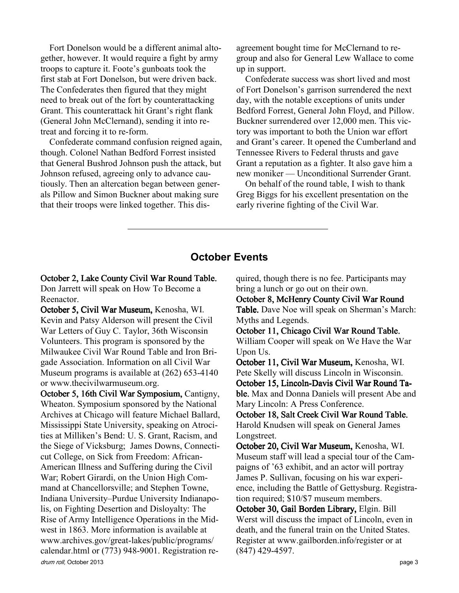Fort Donelson would be a different animal altogether, however. It would require a fight by army troops to capture it. Foote's gunboats took the first stab at Fort Donelson, but were driven back. The Confederates then figured that they might need to break out of the fort by counterattacking Grant. This counterattack hit Grant's right flank (General John McClernand), sending it into retreat and forcing it to re-form.

Confederate command confusion reigned again, though. Colonel Nathan Bedford Forrest insisted that General Bushrod Johnson push the attack, but Johnson refused, agreeing only to advance cautiously. Then an altercation began between generals Pillow and Simon Buckner about making sure that their troops were linked together. This disagreement bought time for McClernand to regroup and also for General Lew Wallace to come up in support.

Confederate success was short lived and most of Fort Donelson's garrison surrendered the next day, with the notable exceptions of units under Bedford Forrest, General John Floyd, and Pillow. Buckner surrendered over 12,000 men. This victory was important to both the Union war effort and Grant's career. It opened the Cumberland and Tennessee Rivers to Federal thrusts and gave Grant a reputation as a fighter. It also gave him a new moniker — Unconditional Surrender Grant.

On behalf of the round table, I wish to thank Greg Biggs for his excellent presentation on the early riverine fighting of the Civil War.

#### October Events

October 2, Lake County Civil War Round Table. Don Jarrett will speak on How To Become a Reenactor.

October 5, Civil War Museum, Kenosha, WI. Kevin and Patsy Alderson will present the Civil War Letters of Guy C. Taylor, 36th Wisconsin Volunteers. This program is sponsored by the Milwaukee Civil War Round Table and Iron Brigade Association. Information on all Civil War Museum programs is available at (262) 653-4140 or www.thecivilwarmuseum.org.

drum roll, October 2013 page 3 October 5, 16th Civil War Symposium, Cantigny, Wheaton. Symposium sponsored by the National Archives at Chicago will feature Michael Ballard, Mississippi State University, speaking on Atrocities at Milliken's Bend: U. S. Grant, Racism, and the Siege of Vicksburg; James Downs, Connecticut College, on Sick from Freedom: African-American Illness and Suffering during the Civil War; Robert Girardi, on the Union High Command at Chancellorsville; and Stephen Towne, Indiana University–Purdue University Indianapolis, on Fighting Desertion and Disloyalty: The Rise of Army Intelligence Operations in the Midwest in 1863. More information is available at www.archives.gov/great-lakes/public/programs/ calendar.html or (773) 948-9001. Registration re-

quired, though there is no fee. Participants may bring a lunch or go out on their own.

October 8, McHenry County Civil War Round Table. Dave Noe will speak on Sherman's March: Myths and Legends.

October 11, Chicago Civil War Round Table. William Cooper will speak on We Have the War Upon Us.

October 11, Civil War Museum, Kenosha, WI. Pete Skelly will discuss Lincoln in Wisconsin.

October 15, Lincoln-Davis Civil War Round Table. Max and Donna Daniels will present Abe and Mary Lincoln: A Press Conference.

October 18, Salt Creek Civil War Round Table. Harold Knudsen will speak on General James Longstreet.

October 20, Civil War Museum, Kenosha, WI. Museum staff will lead a special tour of the Campaigns of '63 exhibit, and an actor will portray James P. Sullivan, focusing on his war experience, including the Battle of Gettysburg. Registration required; \$10/\$7 museum members.

October 30, Gail Borden Library, Elgin. Bill Werst will discuss the impact of Lincoln, even in death, and the funeral train on the United States. Register at www.gailborden.info/register or at (847) 429-4597.